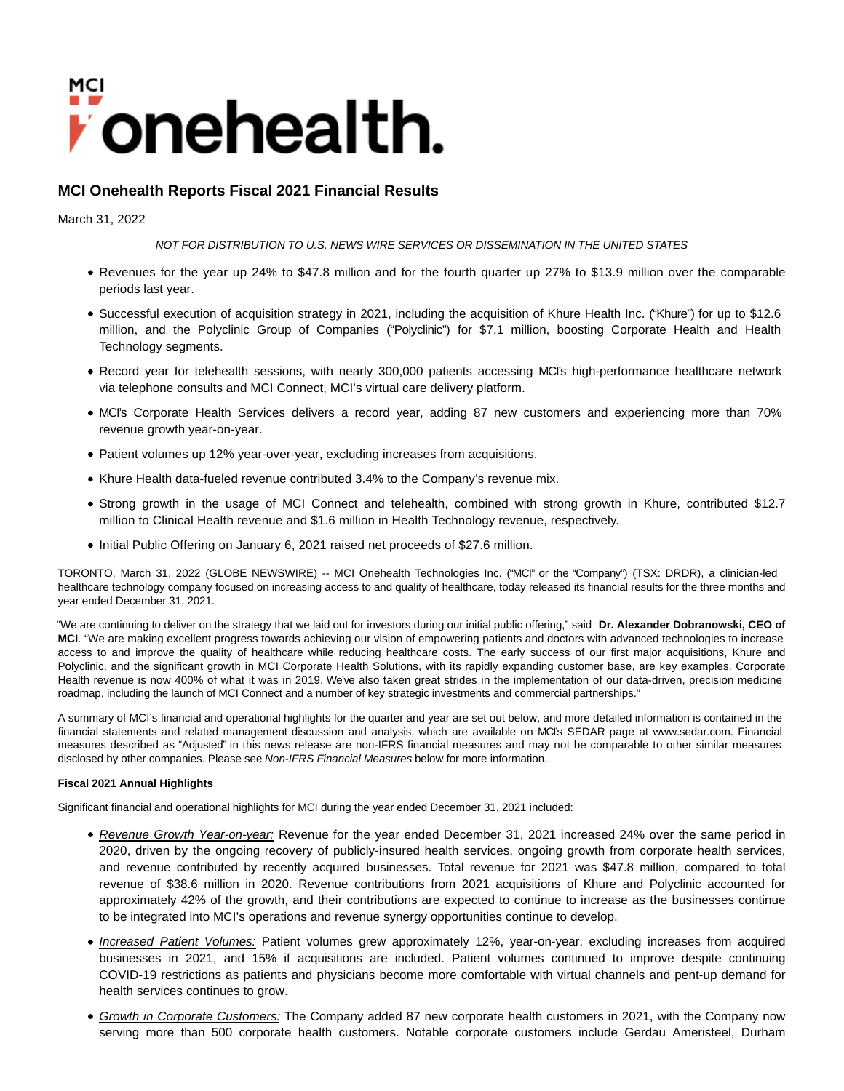

# **MCI Onehealth Reports Fiscal 2021 Financial Results**

March 31, 2022

NOT FOR DISTRIBUTION TO U.S. NEWS WIRE SERVICES OR DISSEMINATION IN THE UNITED STATES

- Revenues for the year up 24% to \$47.8 million and for the fourth quarter up 27% to \$13.9 million over the comparable periods last year.
- Successful execution of acquisition strategy in 2021, including the acquisition of Khure Health Inc. ("Khure") for up to \$12.6 million, and the Polyclinic Group of Companies ("Polyclinic") for \$7.1 million, boosting Corporate Health and Health Technology segments.
- Record year for telehealth sessions, with nearly 300,000 patients accessing MCI's high-performance healthcare network via telephone consults and MCI Connect, MCI's virtual care delivery platform.
- MCI's Corporate Health Services delivers a record year, adding 87 new customers and experiencing more than 70% revenue growth year-on-year.
- Patient volumes up 12% year-over-year, excluding increases from acquisitions.
- Khure Health data-fueled revenue contributed 3.4% to the Company's revenue mix.
- Strong growth in the usage of MCI Connect and telehealth, combined with strong growth in Khure, contributed \$12.7 million to Clinical Health revenue and \$1.6 million in Health Technology revenue, respectively.
- Initial Public Offering on January 6, 2021 raised net proceeds of \$27.6 million.

TORONTO, March 31, 2022 (GLOBE NEWSWIRE) -- MCI Onehealth Technologies Inc. ("MCI" or the "Company") (TSX: DRDR), a clinician-led healthcare technology company focused on increasing access to and quality of healthcare, today released its financial results for the three months and year ended December 31, 2021.

"We are continuing to deliver on the strategy that we laid out for investors during our initial public offering," said **Dr. Alexander Dobranowski, CEO of MCI**. "We are making excellent progress towards achieving our vision of empowering patients and doctors with advanced technologies to increase access to and improve the quality of healthcare while reducing healthcare costs. The early success of our first major acquisitions, Khure and Polyclinic, and the significant growth in MCI Corporate Health Solutions, with its rapidly expanding customer base, are key examples. Corporate Health revenue is now 400% of what it was in 2019. We've also taken great strides in the implementation of our data-driven, precision medicine roadmap, including the launch of MCI Connect and a number of key strategic investments and commercial partnerships."

A summary of MCI's financial and operational highlights for the quarter and year are set out below, and more detailed information is contained in the financial statements and related management discussion and analysis, which are available on MCI's SEDAR page at www.sedar.com. Financial measures described as "Adjusted" in this news release are non-IFRS financial measures and may not be comparable to other similar measures disclosed by other companies. Please see Non-IFRS Financial Measures below for more information.

## **Fiscal 2021 Annual Highlights**

Significant financial and operational highlights for MCI during the year ended December 31, 2021 included:

- Revenue Growth Year-on-year: Revenue for the year ended December 31, 2021 increased 24% over the same period in 2020, driven by the ongoing recovery of publicly-insured health services, ongoing growth from corporate health services, and revenue contributed by recently acquired businesses. Total revenue for 2021 was \$47.8 million, compared to total revenue of \$38.6 million in 2020. Revenue contributions from 2021 acquisitions of Khure and Polyclinic accounted for approximately 42% of the growth, and their contributions are expected to continue to increase as the businesses continue to be integrated into MCI's operations and revenue synergy opportunities continue to develop.
- Increased Patient Volumes: Patient volumes grew approximately 12%, year-on-year, excluding increases from acquired businesses in 2021, and 15% if acquisitions are included. Patient volumes continued to improve despite continuing COVID-19 restrictions as patients and physicians become more comfortable with virtual channels and pent-up demand for health services continues to grow.
- Growth in Corporate Customers: The Company added 87 new corporate health customers in 2021, with the Company now serving more than 500 corporate health customers. Notable corporate customers include Gerdau Ameristeel, Durham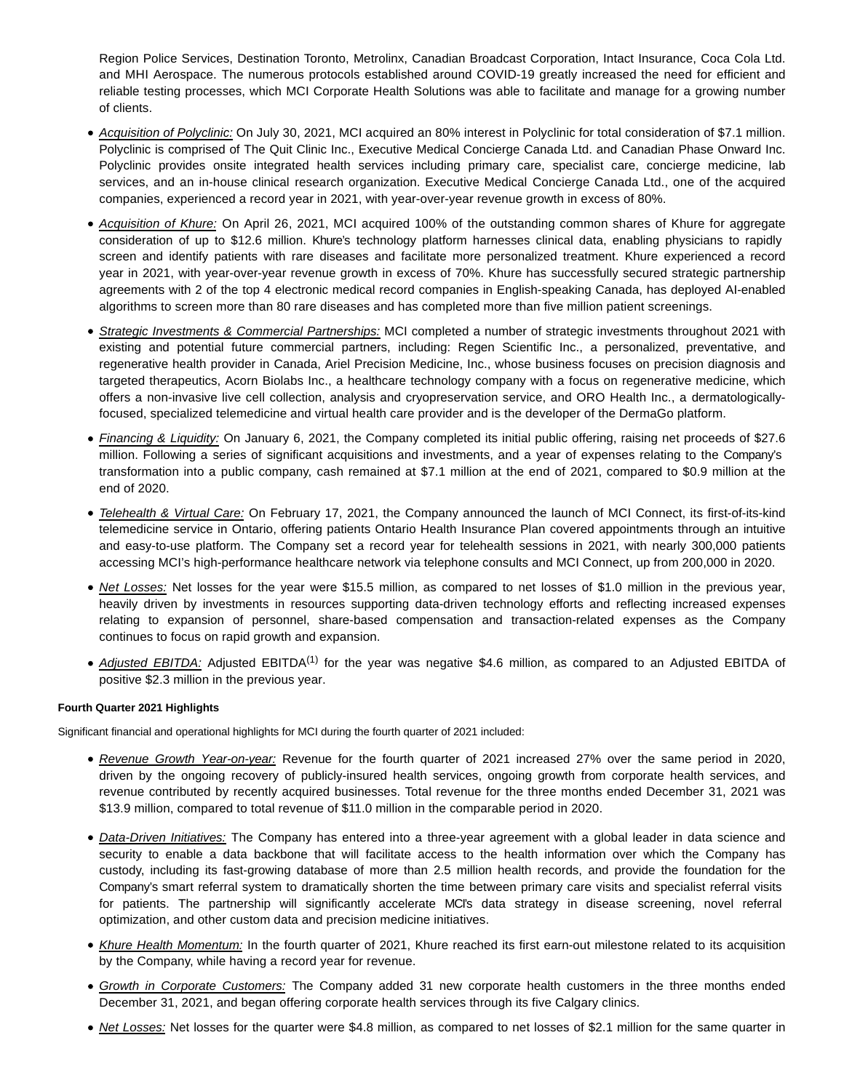Region Police Services, Destination Toronto, Metrolinx, Canadian Broadcast Corporation, Intact Insurance, Coca Cola Ltd. and MHI Aerospace. The numerous protocols established around COVID-19 greatly increased the need for efficient and reliable testing processes, which MCI Corporate Health Solutions was able to facilitate and manage for a growing number of clients.

- Acquisition of Polyclinic: On July 30, 2021, MCI acquired an 80% interest in Polyclinic for total consideration of \$7.1 million. Polyclinic is comprised of The Quit Clinic Inc., Executive Medical Concierge Canada Ltd. and Canadian Phase Onward Inc. Polyclinic provides onsite integrated health services including primary care, specialist care, concierge medicine, lab services, and an in-house clinical research organization. Executive Medical Concierge Canada Ltd., one of the acquired companies, experienced a record year in 2021, with year-over-year revenue growth in excess of 80%.
- Acquisition of Khure: On April 26, 2021, MCI acquired 100% of the outstanding common shares of Khure for aggregate consideration of up to \$12.6 million. Khure's technology platform harnesses clinical data, enabling physicians to rapidly screen and identify patients with rare diseases and facilitate more personalized treatment. Khure experienced a record year in 2021, with year-over-year revenue growth in excess of 70%. Khure has successfully secured strategic partnership agreements with 2 of the top 4 electronic medical record companies in English-speaking Canada, has deployed AI-enabled algorithms to screen more than 80 rare diseases and has completed more than five million patient screenings.
- Strategic Investments & Commercial Partnerships: MCI completed a number of strategic investments throughout 2021 with existing and potential future commercial partners, including: Regen Scientific Inc., a personalized, preventative, and regenerative health provider in Canada, Ariel Precision Medicine, Inc., whose business focuses on precision diagnosis and targeted therapeutics, Acorn Biolabs Inc., a healthcare technology company with a focus on regenerative medicine, which offers a non-invasive live cell collection, analysis and cryopreservation service, and ORO Health Inc., a dermatologicallyfocused, specialized telemedicine and virtual health care provider and is the developer of the DermaGo platform.
- Financing & Liquidity: On January 6, 2021, the Company completed its initial public offering, raising net proceeds of \$27.6 million. Following a series of significant acquisitions and investments, and a year of expenses relating to the Company's transformation into a public company, cash remained at \$7.1 million at the end of 2021, compared to \$0.9 million at the end of 2020.
- Telehealth & Virtual Care: On February 17, 2021, the Company announced the launch of MCI Connect, its first-of-its-kind telemedicine service in Ontario, offering patients Ontario Health Insurance Plan covered appointments through an intuitive and easy-to-use platform. The Company set a record year for telehealth sessions in 2021, with nearly 300,000 patients accessing MCI's high-performance healthcare network via telephone consults and MCI Connect, up from 200,000 in 2020.
- Net Losses: Net losses for the year were \$15.5 million, as compared to net losses of \$1.0 million in the previous year, heavily driven by investments in resources supporting data-driven technology efforts and reflecting increased expenses relating to expansion of personnel, share-based compensation and transaction-related expenses as the Company continues to focus on rapid growth and expansion.
- Adjusted EBITDA: Adjusted EBITDA<sup>(1)</sup> for the year was negative \$4.6 million, as compared to an Adjusted EBITDA of positive \$2.3 million in the previous year.

## **Fourth Quarter 2021 Highlights**

Significant financial and operational highlights for MCI during the fourth quarter of 2021 included:

- Revenue Growth Year-on-year: Revenue for the fourth quarter of 2021 increased 27% over the same period in 2020, driven by the ongoing recovery of publicly-insured health services, ongoing growth from corporate health services, and revenue contributed by recently acquired businesses. Total revenue for the three months ended December 31, 2021 was \$13.9 million, compared to total revenue of \$11.0 million in the comparable period in 2020.
- Data-Driven Initiatives: The Company has entered into a three-year agreement with a global leader in data science and security to enable a data backbone that will facilitate access to the health information over which the Company has custody, including its fast-growing database of more than 2.5 million health records, and provide the foundation for the Company's smart referral system to dramatically shorten the time between primary care visits and specialist referral visits for patients. The partnership will significantly accelerate MCI's data strategy in disease screening, novel referral optimization, and other custom data and precision medicine initiatives.
- Khure Health Momentum: In the fourth quarter of 2021, Khure reached its first earn-out milestone related to its acquisition by the Company, while having a record year for revenue.
- Growth in Corporate Customers: The Company added 31 new corporate health customers in the three months ended December 31, 2021, and began offering corporate health services through its five Calgary clinics.
- Net Losses: Net losses for the quarter were \$4.8 million, as compared to net losses of \$2.1 million for the same quarter in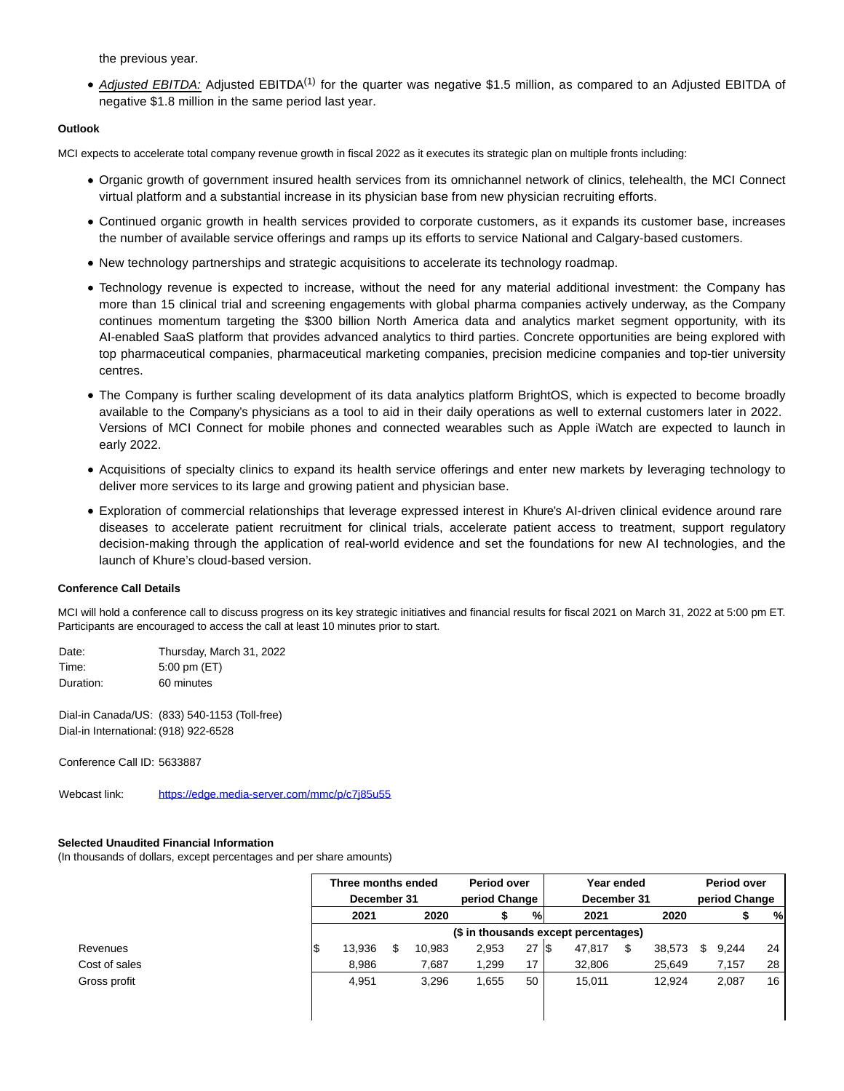the previous year.

• Adjusted EBITDA: Adjusted EBITDA<sup>(1)</sup> for the quarter was negative \$1.5 million, as compared to an Adjusted EBITDA of negative \$1.8 million in the same period last year.

# **Outlook**

MCI expects to accelerate total company revenue growth in fiscal 2022 as it executes its strategic plan on multiple fronts including:

- Organic growth of government insured health services from its omnichannel network of clinics, telehealth, the MCI Connect virtual platform and a substantial increase in its physician base from new physician recruiting efforts.
- Continued organic growth in health services provided to corporate customers, as it expands its customer base, increases the number of available service offerings and ramps up its efforts to service National and Calgary-based customers.
- New technology partnerships and strategic acquisitions to accelerate its technology roadmap.
- Technology revenue is expected to increase, without the need for any material additional investment: the Company has more than 15 clinical trial and screening engagements with global pharma companies actively underway, as the Company continues momentum targeting the \$300 billion North America data and analytics market segment opportunity, with its AI-enabled SaaS platform that provides advanced analytics to third parties. Concrete opportunities are being explored with top pharmaceutical companies, pharmaceutical marketing companies, precision medicine companies and top-tier university centres.
- The Company is further scaling development of its data analytics platform BrightOS, which is expected to become broadly available to the Company's physicians as a tool to aid in their daily operations as well to external customers later in 2022. Versions of MCI Connect for mobile phones and connected wearables such as Apple iWatch are expected to launch in early 2022.
- Acquisitions of specialty clinics to expand its health service offerings and enter new markets by leveraging technology to deliver more services to its large and growing patient and physician base.
- Exploration of commercial relationships that leverage expressed interest in Khure's AI-driven clinical evidence around rare diseases to accelerate patient recruitment for clinical trials, accelerate patient access to treatment, support regulatory decision-making through the application of real-world evidence and set the foundations for new AI technologies, and the launch of Khure's cloud-based version.

## **Conference Call Details**

MCI will hold a conference call to discuss progress on its key strategic initiatives and financial results for fiscal 2021 on March 31, 2022 at 5:00 pm ET. Participants are encouraged to access the call at least 10 minutes prior to start.

| Date:     | Thursday, March 31, 2022 |
|-----------|--------------------------|
| Time:     | $5:00 \text{ pm (ET)}$   |
| Duration: | 60 minutes               |

Dial-in Canada/US: (833) 540-1153 (Toll-free) Dial-in International: (918) 922-6528

Conference Call ID: 5633887

Webcast link: <https://edge.media-server.com/mmc/p/c7j85u55>

## **Selected Unaudited Financial Information**

(In thousands of dollars, except percentages and per share amounts)

|               | Three months ended<br>December 31 |  | Period over<br>period Change | Year ended<br>December 31            |     |              | Period over<br>period Change |  |        |   |       |    |
|---------------|-----------------------------------|--|------------------------------|--------------------------------------|-----|--------------|------------------------------|--|--------|---|-------|----|
|               | 2021<br>2020                      |  |                              | %                                    |     | 2020<br>2021 |                              |  |        | % |       |    |
|               |                                   |  |                              | (\$ in thousands except percentages) |     |              |                              |  |        |   |       |    |
| Revenues      | 13.936                            |  | 10.983                       | 2,953                                | 27S |              | 47,817                       |  | 38,573 |   | 9.244 | 24 |
| Cost of sales | 8.986                             |  | 7,687                        | 1,299                                | 17  |              | 32.806                       |  | 25,649 |   | 7,157 | 28 |
| Gross profit  | 4.951                             |  | 3.296                        | .655                                 | 50  |              | 15.011                       |  | 12,924 |   | 2.087 | 16 |
|               |                                   |  |                              |                                      |     |              |                              |  |        |   |       |    |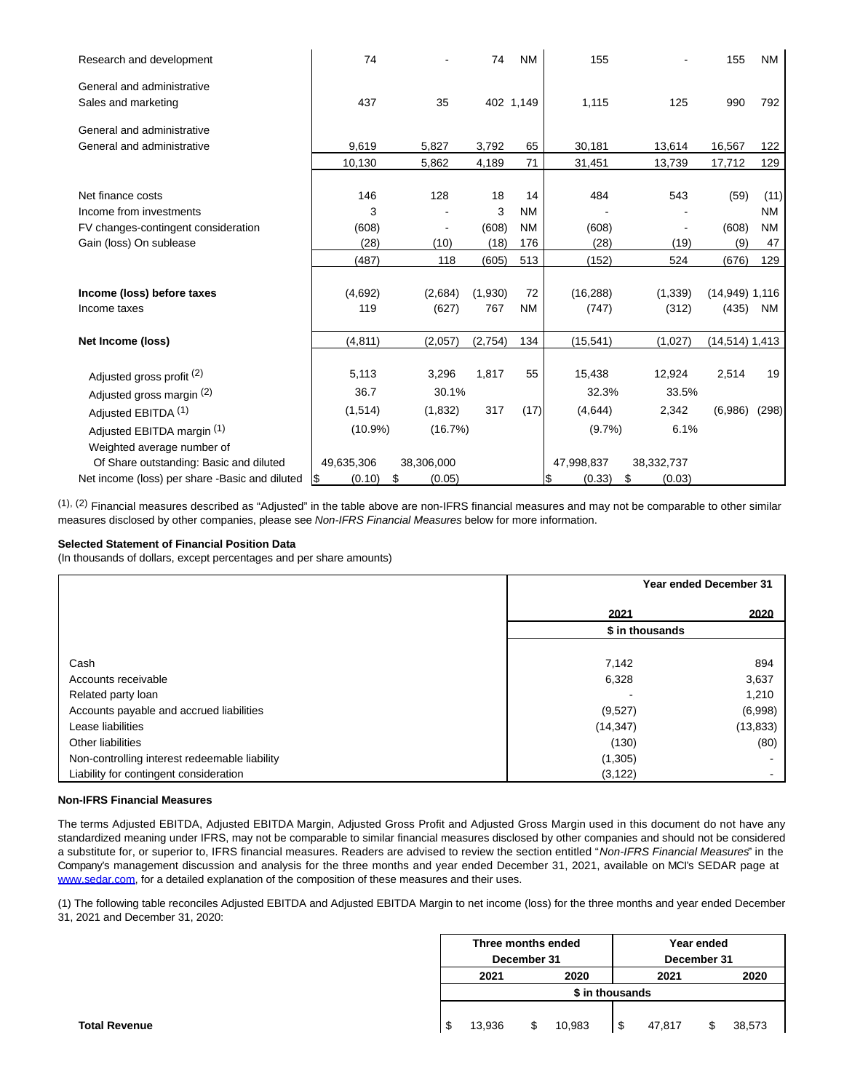| Research and development                       | 74           |              | 74      | <b>NM</b> | 155        |              | 155              | <b>NM</b> |
|------------------------------------------------|--------------|--------------|---------|-----------|------------|--------------|------------------|-----------|
| General and administrative                     |              |              |         |           |            |              |                  |           |
| Sales and marketing                            | 437          | 35           |         | 402 1,149 | 1,115      | 125          | 990              | 792       |
| General and administrative                     |              |              |         |           |            |              |                  |           |
| General and administrative                     | 9,619        | 5,827        | 3,792   | 65        | 30,181     | 13,614       | 16,567           | 122       |
|                                                | 10,130       | 5,862        | 4,189   | 71        | 31,451     | 13,739       | 17,712           | 129       |
| Net finance costs                              | 146          | 128          | 18      | 14        | 484        | 543          | (59)             | (11)      |
| Income from investments                        | 3            |              | 3       | <b>NM</b> |            |              |                  | <b>NM</b> |
| FV changes-contingent consideration            | (608)        |              | (608)   | <b>NM</b> | (608)      |              | (608)            | <b>NM</b> |
| Gain (loss) On sublease                        | (28)         | (10)         | (18)    | 176       | (28)       | (19)         | (9)              | 47        |
|                                                | (487)        | 118          | (605)   | 513       | (152)      | 524          | (676)            | 129       |
| Income (loss) before taxes                     | (4,692)      | (2,684)      | (1,930) | 72        | (16, 288)  | (1, 339)     | $(14.949)$ 1.116 |           |
| Income taxes                                   | 119          | (627)        | 767     | <b>NM</b> | (747)      | (312)        | (435)            | <b>NM</b> |
| Net Income (loss)                              | (4, 811)     | (2,057)      | (2,754) | 134       | (15, 541)  | (1,027)      | $(14,514)$ 1,413 |           |
|                                                |              |              |         |           |            |              |                  |           |
| Adjusted gross profit (2)                      | 5,113        | 3,296        | 1,817   | 55        | 15,438     | 12,924       | 2,514            | 19        |
| Adjusted gross margin (2)                      | 36.7         | 30.1%        |         |           | 32.3%      | 33.5%        |                  |           |
| Adjusted EBITDA (1)                            | (1,514)      | (1,832)      | 317     | (17)      | (4,644)    | 2,342        | (6,986)          | (298)     |
| Adjusted EBITDA margin (1)                     | $(10.9\%)$   | (16.7%)      |         |           | (9.7%      | 6.1%         |                  |           |
| Weighted average number of                     |              |              |         |           |            |              |                  |           |
| Of Share outstanding: Basic and diluted        | 49,635,306   | 38,306,000   |         |           | 47,998,837 | 38,332,737   |                  |           |
| Net income (loss) per share -Basic and diluted | \$<br>(0.10) | (0.05)<br>\$ |         |           | (0.33)     | (0.03)<br>\$ |                  |           |

(1), (2) Financial measures described as "Adjusted" in the table above are non-IFRS financial measures and may not be comparable to other similar measures disclosed by other companies, please see Non-IFRS Financial Measures below for more information.

## **Selected Statement of Financial Position Data**

(In thousands of dollars, except percentages and per share amounts)

|                                               | <b>Year ended December 31</b> |                |  |  |  |  |
|-----------------------------------------------|-------------------------------|----------------|--|--|--|--|
|                                               | 2021                          | 2020           |  |  |  |  |
|                                               | \$ in thousands               |                |  |  |  |  |
|                                               |                               |                |  |  |  |  |
| Cash                                          | 7,142                         | 894            |  |  |  |  |
| Accounts receivable                           | 6,328                         | 3,637          |  |  |  |  |
| Related party loan                            |                               | 1,210          |  |  |  |  |
| Accounts payable and accrued liabilities      | (9,527)                       | (6,998)        |  |  |  |  |
| Lease liabilities                             | (14, 347)                     | (13, 833)      |  |  |  |  |
| Other liabilities                             | (130)                         | (80)           |  |  |  |  |
| Non-controlling interest redeemable liability | (1,305)                       |                |  |  |  |  |
| Liability for contingent consideration        | (3, 122)                      | $\blacksquare$ |  |  |  |  |

# **Non-IFRS Financial Measures**

The terms Adjusted EBITDA, Adjusted EBITDA Margin, Adjusted Gross Profit and Adjusted Gross Margin used in this document do not have any standardized meaning under IFRS, may not be comparable to similar financial measures disclosed by other companies and should not be considered a substitute for, or superior to, IFRS financial measures. Readers are advised to review the section entitled "Non-IFRS Financial Measures" in the Company's management discussion and analysis for the three months and year ended December 31, 2021, available on MCI's SEDAR page at [www.sedar.com,](https://www.globenewswire.com/Tracker?data=xg-PiV4szOtNCS8wgFPUJXrR2-u1XRUQ901b3Na7JdFd8VFkSeP02qliJNAhymL3_KJNdvPm4BbUI4kwPWANZA==) for a detailed explanation of the composition of these measures and their uses.

(1) The following table reconciles Adjusted EBITDA and Adjusted EBITDA Margin to net income (loss) for the three months and year ended December 31, 2021 and December 31, 2020:

|  |        | Three months ended<br>December 31<br>2021<br>2020<br>\$ in thousands |        |                           |        |        |  |
|--|--------|----------------------------------------------------------------------|--------|---------------------------|--------|--------|--|
|  |        |                                                                      |        |                           | 2021   | 2020   |  |
|  |        |                                                                      |        | Year ended<br>December 31 |        |        |  |
|  |        |                                                                      |        |                           |        |        |  |
|  | 13,936 | \$                                                                   | 10,983 |                           | 47.817 | 38,573 |  |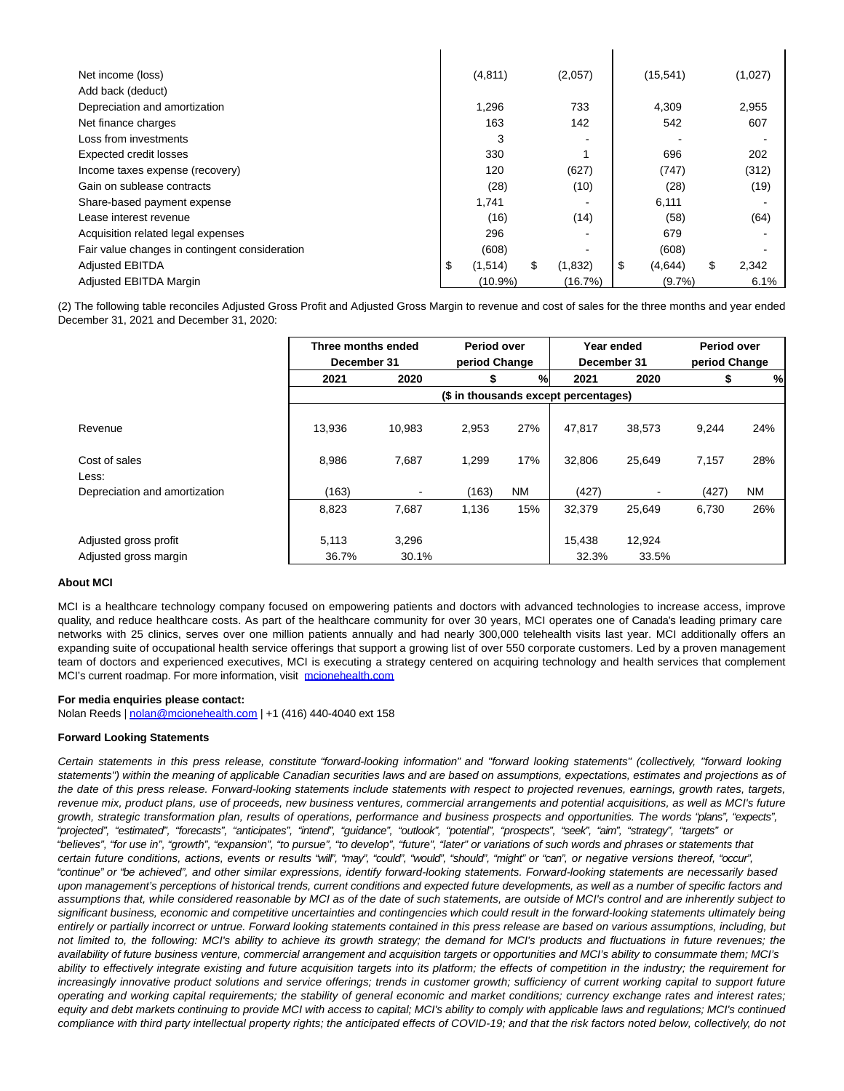| Net income (loss)                              | (4, 811)      | (2,057)                  | (15, 541)     | (1,027)     |
|------------------------------------------------|---------------|--------------------------|---------------|-------------|
| Add back (deduct)                              |               |                          |               |             |
| Depreciation and amortization                  | 1,296         | 733                      | 4,309         | 2,955       |
| Net finance charges                            | 163           | 142                      | 542           | 607         |
| Loss from investments                          | 3             |                          |               |             |
| <b>Expected credit losses</b>                  | 330           |                          | 696           | 202         |
| Income taxes expense (recovery)                | 120           | (627)                    | (747)         | (312)       |
| Gain on sublease contracts                     | (28)          | (10)                     | (28)          | (19)        |
| Share-based payment expense                    | 1.741         | $\overline{\phantom{0}}$ | 6,111         |             |
| Lease interest revenue                         | (16)          | (14)                     | (58)          | (64)        |
| Acquisition related legal expenses             | 296           |                          | 679           |             |
| Fair value changes in contingent consideration | (608)         |                          | (608)         |             |
| <b>Adjusted EBITDA</b>                         | \$<br>(1,514) | \$<br>(1,832)            | \$<br>(4,644) | \$<br>2,342 |
| Adjusted EBITDA Margin                         | (10.9%)       | (16.7%)                  | $(9.7\%)$     | 6.1%        |

 $\mathbf{I}$ 

 $\overline{\phantom{a}}$ 

(2) The following table reconciles Adjusted Gross Profit and Adjusted Gross Margin to revenue and cost of sales for the three months and year ended December 31, 2021 and December 31, 2020:

|                                                | Three months ended<br>December 31 |                         | Period over<br>period Change |           | Year ended<br>December 31            |                 | Period over<br>period Change |           |  |
|------------------------------------------------|-----------------------------------|-------------------------|------------------------------|-----------|--------------------------------------|-----------------|------------------------------|-----------|--|
|                                                | 2021                              | %<br>2020<br>2021<br>\$ |                              | 2020      |                                      | %               |                              |           |  |
|                                                |                                   |                         |                              |           | (\$ in thousands except percentages) |                 |                              |           |  |
| Revenue                                        | 13,936                            | 10,983                  | 2,953                        | 27%       | 47.817                               | 38,573          | 9,244                        | 24%       |  |
| Cost of sales<br>Less:                         | 8,986                             | 7,687                   | 1,299                        | 17%       | 32.806                               | 25,649          | 7,157                        | 28%       |  |
| Depreciation and amortization                  | (163)                             |                         | (163)                        | <b>NM</b> | (427)                                |                 | (427)                        | <b>NM</b> |  |
|                                                | 8,823                             | 7,687                   | 1,136                        | 15%       | 32,379                               | 25,649          | 6,730                        | 26%       |  |
| Adjusted gross profit<br>Adjusted gross margin | 5,113<br>36.7%                    | 3,296<br>30.1%          |                              |           | 15,438<br>32.3%                      | 12,924<br>33.5% |                              |           |  |

## **About MCI**

MCI is a healthcare technology company focused on empowering patients and doctors with advanced technologies to increase access, improve quality, and reduce healthcare costs. As part of the healthcare community for over 30 years, MCI operates one of Canada's leading primary care networks with 25 clinics, serves over one million patients annually and had nearly 300,000 telehealth visits last year. MCI additionally offers an expanding suite of occupational health service offerings that support a growing list of over 550 corporate customers. Led by a proven management team of doctors and experienced executives, MCI is executing a strategy centered on acquiring technology and health services that complement MCI's current roadmap. For more information, visit [mcionehealth.com](https://www.globenewswire.com/Tracker?data=koK7RenfRLBKHtY284XVtSHuMe7TXQDT6jiSyir90N1oHPxGfYlY7NADtdt08eFnGnoLlrJZqSNd4QYXSBA6lQ==)

#### **For media enquiries please contact:**

Nolan Reeds [| nolan@mcionehealth.com |](https://www.globenewswire.com/Tracker?data=M7qRCFekl1FFYe0e8qAcEYsEhUC-4fwE-Hw0jls3SGD43-Znb3DPx8hlWOnbDsdIe-QhHmjgigdTuuT6mfxGKbrcZ9hZb7WQ0GsXg1ZvKO8=) +1 (416) 440-4040 ext 158

#### **Forward Looking Statements**

Certain statements in this press release, constitute "forward-looking information" and "forward looking statements" (collectively, "forward looking statements") within the meaning of applicable Canadian securities laws and are based on assumptions, expectations, estimates and projections as of the date of this press release. Forward-looking statements include statements with respect to projected revenues, earnings, growth rates, targets, revenue mix, product plans, use of proceeds, new business ventures, commercial arrangements and potential acquisitions, as well as MCI's future growth, strategic transformation plan, results of operations, performance and business prospects and opportunities. The words "plans", "expects", "projected", "estimated", "forecasts", "anticipates", "intend", "guidance", "outlook", "potential", "prospects", "seek", "aim", "strategy", "targets" or "believes", "for use in", "growth", "expansion", "to pursue", "to develop", "future", "later" or variations of such words and phrases or statements that certain future conditions, actions, events or results "will", "may", "could", "would", "should", "might" or "can", or negative versions thereof, "occur", "continue" or "be achieved", and other similar expressions, identify forward-looking statements. Forward-looking statements are necessarily based upon management's perceptions of historical trends, current conditions and expected future developments, as well as a number of specific factors and assumptions that, while considered reasonable by MCI as of the date of such statements, are outside of MCI's control and are inherently subject to significant business, economic and competitive uncertainties and contingencies which could result in the forward-looking statements ultimately being entirely or partially incorrect or untrue. Forward looking statements contained in this press release are based on various assumptions, including, but not limited to, the following: MCI's ability to achieve its growth strategy; the demand for MCI's products and fluctuations in future revenues; the availability of future business venture, commercial arrangement and acquisition targets or opportunities and MCI's ability to consummate them; MCI's ability to effectively integrate existing and future acquisition targets into its platform; the effects of competition in the industry; the requirement for increasingly innovative product solutions and service offerings; trends in customer growth; sufficiency of current working capital to support future operating and working capital requirements; the stability of general economic and market conditions; currency exchange rates and interest rates; equity and debt markets continuing to provide MCI with access to capital; MCI's ability to comply with applicable laws and regulations; MCI's continued compliance with third party intellectual property rights; the anticipated effects of COVID-19; and that the risk factors noted below, collectively, do not